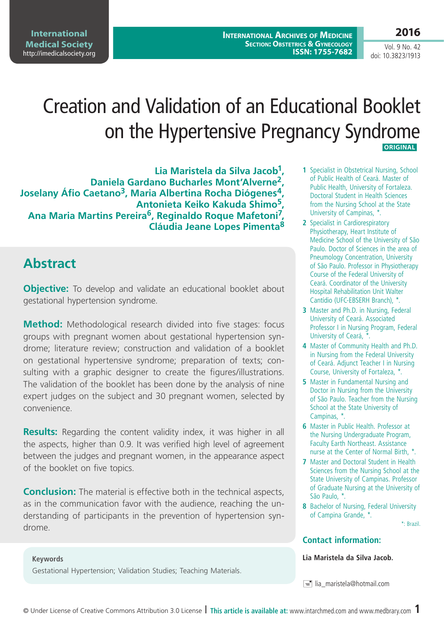**International Archives of Medicine SECTION: OBSTETRICS & GYNECOLOGY ISSN: 1755-7682**

# Creation and Validation of an Educational Booklet on the Hypertensive Pregnancy Syndrome  **Original**

**Lia Maristela da Silva Jacob1, Daniela Gardano Bucharles Mont'Alverne2, Joselany Áfio Caetano3, Maria Albertina Rocha Diógenes4, Antonieta Keiko Kakuda Shimo5, Ana Maria Martins Pereira6, Reginaldo Roque Mafetoni7, Cláudia Jeane Lopes Pimenta<sup>8</sup>**

### **Abstract**

**Objective:** To develop and validate an educational booklet about gestational hypertension syndrome.

**Method:** Methodological research divided into five stages: focus groups with pregnant women about gestational hypertension syndrome; literature review; construction and validation of a booklet on gestational hypertensive syndrome; preparation of texts; consulting with a graphic designer to create the figures/illustrations. The validation of the booklet has been done by the analysis of nine expert judges on the subject and 30 pregnant women, selected by convenience.

**Results:** Regarding the content validity index, it was higher in all the aspects, higher than 0.9. It was verified high level of agreement between the judges and pregnant women, in the appearance aspect of the booklet on five topics.

**Conclusion:** The material is effective both in the technical aspects, as in the communication favor with the audience, reaching the understanding of participants in the prevention of hypertension syndrome.

#### **Keywords**

Gestational Hypertension; Validation Studies; Teaching Materials.

- **1** Specialist in Obstetrical Nursing, School of Public Health of Ceará. Master of Public Health, University of Fortaleza. Doctoral Student in Health Sciences from the Nursing School at the State University of Campinas, \*.
- **2** Specialist in Cardiorespiratory Physiotherapy, Heart Institute of Medicine School of the University of São Paulo. Doctor of Sciences in the area of Pneumology Concentration, University of São Paulo. Professor in Physiotherapy Course of the Federal University of Ceará. Coordinator of the University Hospital Rehabilitation Unit Walter Cantídio (UFC-EBSERH Branch), \*.
- **3** Master and Ph.D. in Nursing, Federal University of Ceará. Associated Professor I in Nursing Program, Federal University of Ceará, \*.
- **4** Master of Community Health and Ph.D. in Nursing from the Federal University of Ceará. Adjunct Teacher I in Nursing Course, University of Fortaleza, \*.
- **5** Master in Fundamental Nursing and Doctor in Nursing from the University of São Paulo. Teacher from the Nursing School at the State University of Campinas, \*.
- **6** Master in Public Health. Professor at the Nursing Undergraduate Program, Faculty Earth Northeast. Assistance nurse at the Center of Normal Birth, \*
- **7** Master and Doctoral Student in Health Sciences from the Nursing School at the State University of Campinas. Professor of Graduate Nursing at the University of São Paulo, \*.
- **8** Bachelor of Nursing, Federal University of Campina Grande, \*.

\*: Brazil.

#### **Contact information:**

**Lia Maristela da Silva Jacob.**

 $\equiv$  lia maristela@hotmail.com

Vol. 9 No. 42 doi: 10.3823/1913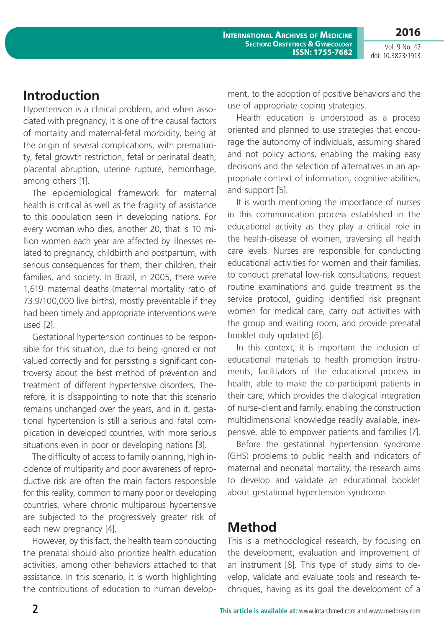**2016**

Vol. 9 No. 42 doi: 10.3823/1913

### **Introduction**

Hypertension is a clinical problem, and when associated with pregnancy, it is one of the causal factors of mortality and maternal-fetal morbidity, being at the origin of several complications, with prematurity, fetal growth restriction, fetal or perinatal death, placental abruption, uterine rupture, hemorrhage, among others [1].

The epidemiological framework for maternal health is critical as well as the fragility of assistance to this population seen in developing nations. For every woman who dies, another 20, that is 10 million women each year are affected by illnesses related to pregnancy, childbirth and postpartum, with serious consequences for them, their children, their families, and society. In Brazil, in 2005, there were 1,619 maternal deaths (maternal mortality ratio of 73.9/100,000 live births), mostly preventable if they had been timely and appropriate interventions were used [2].

Gestational hypertension continues to be responsible for this situation, due to being ignored or not valued correctly and for persisting a significant controversy about the best method of prevention and treatment of different hypertensive disorders. Therefore, it is disappointing to note that this scenario remains unchanged over the years, and in it, gestational hypertension is still a serious and fatal complication in developed countries, with more serious situations even in poor or developing nations [3].

The difficulty of access to family planning, high incidence of multiparity and poor awareness of reproductive risk are often the main factors responsible for this reality, common to many poor or developing countries, where chronic multiparous hypertensive are subjected to the progressively greater risk of each new pregnancy [4].

However, by this fact, the health team conducting the prenatal should also prioritize health education activities, among other behaviors attached to that assistance. In this scenario, it is worth highlighting the contributions of education to human development, to the adoption of positive behaviors and the use of appropriate coping strategies.

Health education is understood as a process oriented and planned to use strategies that encourage the autonomy of individuals, assuming shared and not policy actions, enabling the making easy decisions and the selection of alternatives in an appropriate context of information, cognitive abilities, and support [5].

It is worth mentioning the importance of nurses in this communication process established in the educational activity as they play a critical role in the health-disease of women, traversing all health care levels. Nurses are responsible for conducting educational activities for women and their families, to conduct prenatal low-risk consultations, request routine examinations and guide treatment as the service protocol, guiding identified risk pregnant women for medical care, carry out activities with the group and waiting room, and provide prenatal booklet duly updated [6].

In this context, it is important the inclusion of educational materials to health promotion instruments, facilitators of the educational process in health, able to make the co-participant patients in their care, which provides the dialogical integration of nurse-client and family, enabling the construction multidimensional knowledge readily available, inexpensive, able to empower patients and families [7].

Before the gestational hypertension syndrome (GHS) problems to public health and indicators of maternal and neonatal mortality, the research aims to develop and validate an educational booklet about gestational hypertension syndrome.

## **Method**

This is a methodological research, by focusing on the development, evaluation and improvement of an instrument [8]. This type of study aims to develop, validate and evaluate tools and research techniques, having as its goal the development of a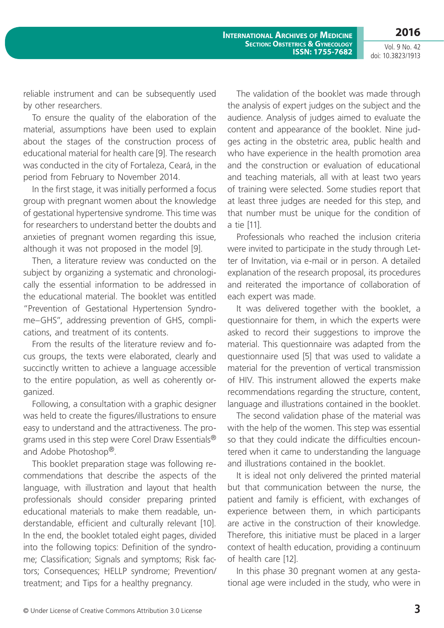Vol. 9 No. 42 doi: 10.3823/1913

reliable instrument and can be subsequently used by other researchers.

To ensure the quality of the elaboration of the material, assumptions have been used to explain about the stages of the construction process of educational material for health care [9]. The research was conducted in the city of Fortaleza, Ceará, in the period from February to November 2014.

In the first stage, it was initially performed a focus group with pregnant women about the knowledge of gestational hypertensive syndrome. This time was for researchers to understand better the doubts and anxieties of pregnant women regarding this issue, although it was not proposed in the model [9].

Then, a literature review was conducted on the subject by organizing a systematic and chronologically the essential information to be addressed in the educational material. The booklet was entitled "Prevention of Gestational Hypertension Syndrome–GHS", addressing prevention of GHS, complications, and treatment of its contents.

From the results of the literature review and focus groups, the texts were elaborated, clearly and succinctly written to achieve a language accessible to the entire population, as well as coherently organized.

Following, a consultation with a graphic designer was held to create the figures/illustrations to ensure easy to understand and the attractiveness. The programs used in this step were Corel Draw Essentials® and Adobe Photoshop®.

This booklet preparation stage was following recommendations that describe the aspects of the language, with illustration and layout that health professionals should consider preparing printed educational materials to make them readable, understandable, efficient and culturally relevant [10]. In the end, the booklet totaled eight pages, divided into the following topics: Definition of the syndrome; Classification; Signals and symptoms; Risk factors; Consequences; HELLP syndrome; Prevention/ treatment; and Tips for a healthy pregnancy.

The validation of the booklet was made through the analysis of expert judges on the subject and the audience. Analysis of judges aimed to evaluate the content and appearance of the booklet. Nine judges acting in the obstetric area, public health and who have experience in the health promotion area and the construction or evaluation of educational and teaching materials, all with at least two years of training were selected. Some studies report that at least three judges are needed for this step, and that number must be unique for the condition of a tie [11].

Professionals who reached the inclusion criteria were invited to participate in the study through Letter of Invitation, via e-mail or in person. A detailed explanation of the research proposal, its procedures and reiterated the importance of collaboration of each expert was made.

It was delivered together with the booklet, a questionnaire for them, in which the experts were asked to record their suggestions to improve the material. This questionnaire was adapted from the questionnaire used [5] that was used to validate a material for the prevention of vertical transmission of HIV. This instrument allowed the experts make recommendations regarding the structure, content, language and illustrations contained in the booklet.

The second validation phase of the material was with the help of the women. This step was essential so that they could indicate the difficulties encountered when it came to understanding the language and illustrations contained in the booklet.

It is ideal not only delivered the printed material but that communication between the nurse, the patient and family is efficient, with exchanges of experience between them, in which participants are active in the construction of their knowledge. Therefore, this initiative must be placed in a larger context of health education, providing a continuum of health care [12].

In this phase 30 pregnant women at any gestational age were included in the study, who were in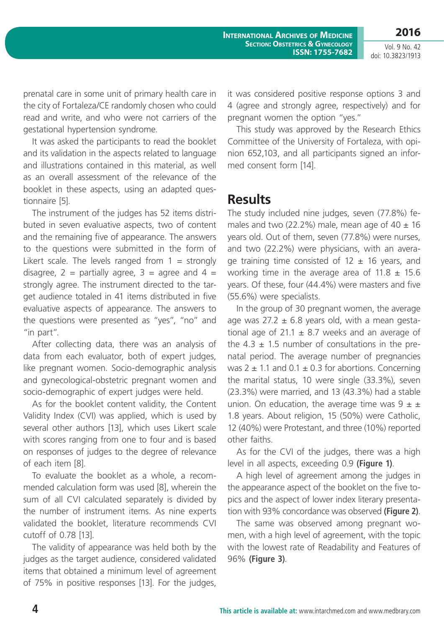**2016**

Vol. 9 No. 42 doi: 10.3823/1913

prenatal care in some unit of primary health care in the city of Fortaleza/CE randomly chosen who could read and write, and who were not carriers of the gestational hypertension syndrome.

It was asked the participants to read the booklet and its validation in the aspects related to language and illustrations contained in this material, as well as an overall assessment of the relevance of the booklet in these aspects, using an adapted questionnaire [5].

The instrument of the judges has 52 items distributed in seven evaluative aspects, two of content and the remaining five of appearance. The answers to the questions were submitted in the form of Likert scale. The levels ranged from  $1 =$  strongly disagree,  $2$  = partially agree,  $3$  = agree and  $4$  = strongly agree. The instrument directed to the target audience totaled in 41 items distributed in five evaluative aspects of appearance. The answers to the questions were presented as "yes", "no" and "in part".

After collecting data, there was an analysis of data from each evaluator, both of expert judges, like pregnant women. Socio-demographic analysis and gynecological-obstetric pregnant women and socio-demographic of expert judges were held.

As for the booklet content validity, the Content Validity Index (CVI) was applied, which is used by several other authors [13], which uses Likert scale with scores ranging from one to four and is based on responses of judges to the degree of relevance of each item [8].

To evaluate the booklet as a whole, a recommended calculation form was used [8], wherein the sum of all CVI calculated separately is divided by the number of instrument items. As nine experts validated the booklet, literature recommends CVI cutoff of 0.78 [13].

The validity of appearance was held both by the judges as the target audience, considered validated items that obtained a minimum level of agreement of 75% in positive responses [13]. For the judges,

it was considered positive response options 3 and 4 (agree and strongly agree, respectively) and for pregnant women the option "yes."

This study was approved by the Research Ethics Committee of the University of Fortaleza, with opinion 652,103, and all participants signed an informed consent form [14].

#### **Results**

The study included nine judges, seven (77.8%) females and two (22.2%) male, mean age of  $40 \pm 16$ years old. Out of them, seven (77.8%) were nurses, and two (22.2%) were physicians, with an average training time consisted of  $12 \pm 16$  years, and working time in the average area of  $11.8 \pm 15.6$ years. Of these, four (44.4%) were masters and five (55.6%) were specialists.

In the group of 30 pregnant women, the average age was  $27.2 \pm 6.8$  years old, with a mean gestational age of 21.1  $\pm$  8.7 weeks and an average of the  $4.3 \pm 1.5$  number of consultations in the prenatal period. The average number of pregnancies was  $2 \pm 1.1$  and  $0.1 \pm 0.3$  for abortions. Concerning the marital status, 10 were single (33.3%), seven (23.3%) were married, and 13 (43.3%) had a stable union. On education, the average time was  $9 \pm \pm$ 1.8 years. About religion, 15 (50%) were Catholic, 12 (40%) were Protestant, and three (10%) reported other faiths.

As for the CVI of the judges, there was a high level in all aspects, exceeding 0.9 **(Figure 1)**.

A high level of agreement among the judges in the appearance aspect of the booklet on the five topics and the aspect of lower index literary presentation with 93% concordance was observed **(Figure 2)**.

The same was observed among pregnant women, with a high level of agreement, with the topic with the lowest rate of Readability and Features of 96% **(Figure 3)**.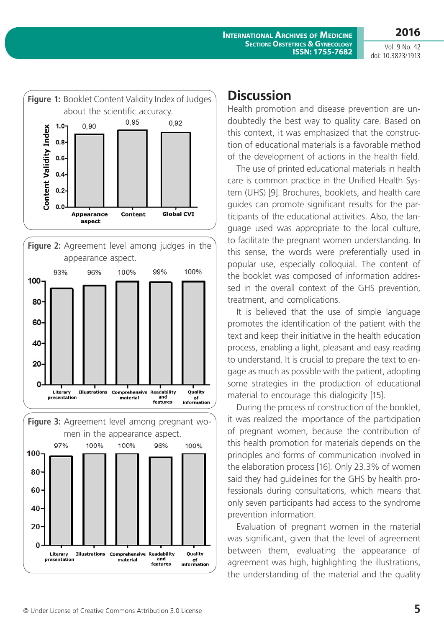Vol. 9 No. 42 doi: 10.3823/1913

**2016**







#### **Discussion**

Health promotion and disease prevention are undoubtedly the best way to quality care. Based on this context, it was emphasized that the construction of educational materials is a favorable method of the development of actions in the health field.

The use of printed educational materials in health care is common practice in the Unified Health System (UHS) [9]. Brochures, booklets, and health care guides can promote significant results for the participants of the educational activities. Also, the language used was appropriate to the local culture, to facilitate the pregnant women understanding. In this sense, the words were preferentially used in popular use, especially colloquial. The content of the booklet was composed of information addressed in the overall context of the GHS prevention, treatment, and complications.

It is believed that the use of simple language promotes the identification of the patient with the text and keep their initiative in the health education process, enabling a light, pleasant and easy reading to understand. It is crucial to prepare the text to engage as much as possible with the patient, adopting some strategies in the production of educational material to encourage this dialogicity [15].

During the process of construction of the booklet, it was realized the importance of the participation of pregnant women, because the contribution of this health promotion for materials depends on the principles and forms of communication involved in the elaboration process [16]. Only 23.3% of women said they had guidelines for the GHS by health professionals during consultations, which means that only seven participants had access to the syndrome prevention information.

Evaluation of pregnant women in the material was significant, given that the level of agreement between them, evaluating the appearance of agreement was high, highlighting the illustrations, the understanding of the material and the quality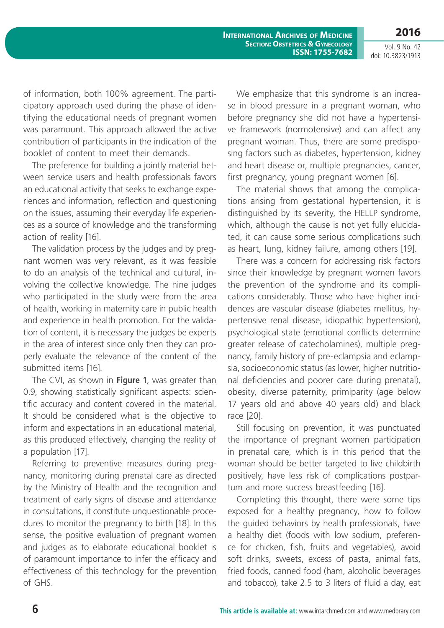**2016**

Vol. 9 No. 42 doi: 10.3823/1913

of information, both 100% agreement. The participatory approach used during the phase of identifying the educational needs of pregnant women was paramount. This approach allowed the active contribution of participants in the indication of the booklet of content to meet their demands.

The preference for building a jointly material between service users and health professionals favors an educational activity that seeks to exchange experiences and information, reflection and questioning on the issues, assuming their everyday life experiences as a source of knowledge and the transforming action of reality [16].

The validation process by the judges and by pregnant women was very relevant, as it was feasible to do an analysis of the technical and cultural, involving the collective knowledge. The nine judges who participated in the study were from the area of health, working in maternity care in public health and experience in health promotion. For the validation of content, it is necessary the judges be experts in the area of interest since only then they can properly evaluate the relevance of the content of the submitted items [16].

The CVI, as shown in **Figure 1**, was greater than 0.9, showing statistically significant aspects: scientific accuracy and content covered in the material. It should be considered what is the objective to inform and expectations in an educational material, as this produced effectively, changing the reality of a population [17].

Referring to preventive measures during pregnancy, monitoring during prenatal care as directed by the Ministry of Health and the recognition and treatment of early signs of disease and attendance in consultations, it constitute unquestionable procedures to monitor the pregnancy to birth [18]. In this sense, the positive evaluation of pregnant women and judges as to elaborate educational booklet is of paramount importance to infer the efficacy and effectiveness of this technology for the prevention of GHS.

We emphasize that this syndrome is an increase in blood pressure in a pregnant woman, who before pregnancy she did not have a hypertensive framework (normotensive) and can affect any pregnant woman. Thus, there are some predisposing factors such as diabetes, hypertension, kidney and heart disease or, multiple pregnancies, cancer, first pregnancy, young pregnant women [6].

The material shows that among the complications arising from gestational hypertension, it is distinguished by its severity, the HELLP syndrome, which, although the cause is not yet fully elucidated, it can cause some serious complications such as heart, lung, kidney failure, among others [19].

There was a concern for addressing risk factors since their knowledge by pregnant women favors the prevention of the syndrome and its complications considerably. Those who have higher incidences are vascular disease (diabetes mellitus, hypertensive renal disease, idiopathic hypertension), psychological state (emotional conflicts determine greater release of catecholamines), multiple pregnancy, family history of pre-eclampsia and eclampsia, socioeconomic status (as lower, higher nutritional deficiencies and poorer care during prenatal), obesity, diverse paternity, primiparity (age below 17 years old and above 40 years old) and black race [20].

Still focusing on prevention, it was punctuated the importance of pregnant women participation in prenatal care, which is in this period that the woman should be better targeted to live childbirth positively, have less risk of complications postpartum and more success breastfeeding [16].

Completing this thought, there were some tips exposed for a healthy pregnancy, how to follow the guided behaviors by health professionals, have a healthy diet (foods with low sodium, preference for chicken, fish, fruits and vegetables), avoid soft drinks, sweets, excess of pasta, animal fats, fried foods, canned food (ham, alcoholic beverages and tobacco), take 2.5 to 3 liters of fluid a day, eat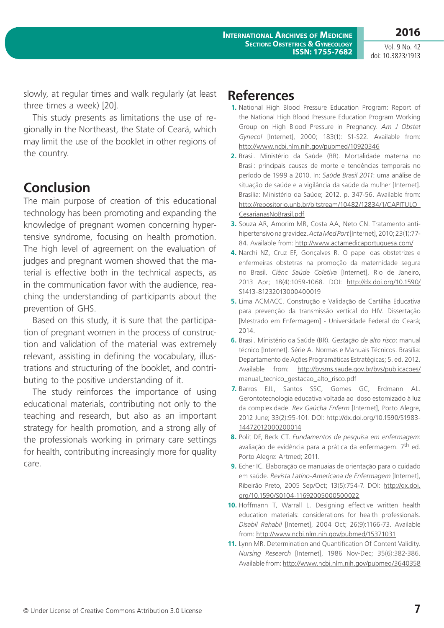Vol. 9 No. 42 doi: 10.3823/1913

**2016**

slowly, at regular times and walk regularly (at least three times a week) [20].

This study presents as limitations the use of regionally in the Northeast, the State of Ceará, which may limit the use of the booklet in other regions of the country.

#### **Conclusion**

The main purpose of creation of this educational technology has been promoting and expanding the knowledge of pregnant women concerning hypertensive syndrome, focusing on health promotion. The high level of agreement on the evaluation of judges and pregnant women showed that the material is effective both in the technical aspects, as in the communication favor with the audience, reaching the understanding of participants about the prevention of GHS.

Based on this study, it is sure that the participation of pregnant women in the process of construction and validation of the material was extremely relevant, assisting in defining the vocabulary, illustrations and structuring of the booklet, and contributing to the positive understanding of it.

The study reinforces the importance of using educational materials, contributing not only to the teaching and research, but also as an important strategy for health promotion, and a strong ally of the professionals working in primary care settings for health, contributing increasingly more for quality care.

#### **References**

- **1.** National High Blood Pressure Education Program: Report of the National High Blood Pressure Education Program Working Group on High Blood Pressure in Pregnancy. *Am J Obstet Gynecol* [Internet], 2000; 183(1): S1-S22. Available from: <http://www.ncbi.nlm.nih.gov/pubmed/10920346>
- **2.** Brasil. Ministério da Saúde (BR). Mortalidade materna no Brasil: principais causas de morte e tendências temporais no período de 1999 a 2010. In: *Saúde Brasil 2011*: uma análise de situação de saúde e a vigilância da saúde da mulher [Internet]. Brasília: Ministério da Saúde; 2012. p. 347-56. Available from: [http://repositorio.unb.br/bitstream/10482/12834/1/CAPITULO\\_](http://repositorio.unb.br/bitstream/10482/12834/1/CAPITULO_CesarianasNoBrasil.pdf) [CesarianasNoBrasil.pdf](http://repositorio.unb.br/bitstream/10482/12834/1/CAPITULO_CesarianasNoBrasil.pdf)
- **3.** Souza AR, Amorim MR, Costa AA, Neto CN. Tratamento antihipertensivo na gravidez. *Acta Med Port* [Internet], 2010; 23(1):77- 84. Available from:<http://www.actamedicaportuguesa.com/>
- **4.** Narchi NZ, Cruz EF, Gonçalves R. O papel das obstetrizes e enfermeiras obstetras na promoção da maternidade segura no Brasil. *Ciênc Saúde Coletiva* [Internet], Rio de Janeiro, 2013 Apr; 18(4):1059-1068. DOI: [http://dx.doi.org/10.1590/](http://dx.doi.org/10.1590/S1413-81232013000400019) [S1413-81232013000400019](http://dx.doi.org/10.1590/S1413-81232013000400019)
- **5.** Lima ACMACC. Construção e Validação de Cartilha Educativa para prevenção da transmissão vertical do HIV. Dissertação [Mestrado em Enfermagem] - Universidade Federal do Ceará; 2014.
- **6.** Brasil. Ministério da Saúde (BR). *Gestação de alto risco*: manual técnico [Internet]. Série A. Normas e Manuais Técnicos. Brasília: Departamento de Ações Programáticas Estratégicas; 5. ed. 2012. Available from: [http://bvsms.saude.gov.br/bvs/publicacoes/](http://bvsms.saude.gov.br/bvs/publicacoes/manual_tecnico_gestacao_alto_risco.pdf) manual tecnico gestacao alto risco.pdf
- **7.** Barros EJL, Santos SSC, Gomes GC, Erdmann AL. Gerontotecnologia educativa voltada ao idoso estomizado à luz da complexidade. *Rev Gaúcha Enferm* [Internet], Porto Alegre, 2012 June; 33(2):95-101. DOI: [http://dx.doi.org/10.1590/S1983-](http://dx.doi.org/10.1590/S1983-14472012000200014) [14472012000200014](http://dx.doi.org/10.1590/S1983-14472012000200014)
- **8.** Polit DF, Beck CT. *Fundamentos de pesquisa em enfermagem*: avaliação de evidência para a prática da enfermagem. 7<sup>th</sup> ed. Porto Alegre: Artmed; 2011.
- **9.** Echer IC. Elaboração de manuaias de orientação para o cuidado em saúde. *Revista Latino-Americana de Enfermagem* [Internet], Ribeirão Preto, 2005 Sep/Oct; 13(5):754-7. DOI: [http://dx.doi.](http://dx.doi.org/10.1590/S0104-11692005000500022) [org/10.1590/S0104-11692005000500022](http://dx.doi.org/10.1590/S0104-11692005000500022)
- **10.** Hoffmann T, Warrall L. Designing effective written health education materials: considerations for health professionals. *Disabil Rehabil* [Internet], 2004 Oct; 26(9):1166-73. Available from: <http://www.ncbi.nlm.nih.gov/pubmed/15371031>
- **11.** Lynn MR. Determination and Quantification Of Content Validity. *Nursing Research* [Internet], 1986 Nov-Dec; 35(6):382-386. Available from:<http://www.ncbi.nlm.nih.gov/pubmed/3640358>